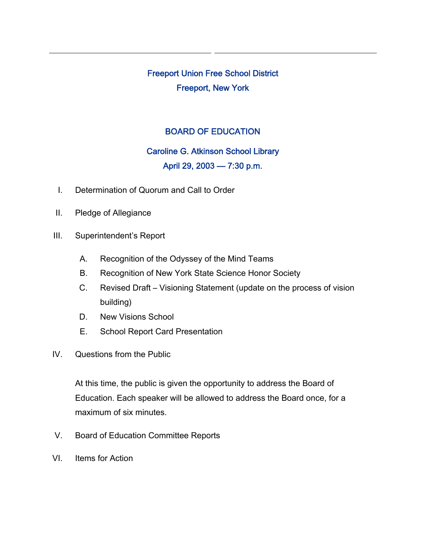Freeport Union Free School District Freeport, New York

# BOARD OF EDUCATION

### Caroline G. Atkinson School Library

# April 29, 2003 — 7:30 p.m.

- I. Determination of Quorum and Call to Order
- II. Pledge of Allegiance
- III. Superintendent's Report
	- A. Recognition of the Odyssey of the Mind Teams
	- B. Recognition of New York State Science Honor Society
	- C. Revised Draft Visioning Statement (update on the process of vision building)
	- D. New Visions School
	- E. School Report Card Presentation
- IV. Questions from the Public

At this time, the public is given the opportunity to address the Board of Education. Each speaker will be allowed to address the Board once, for a maximum of six minutes.

- V. Board of Education Committee Reports
- VI. Items for Action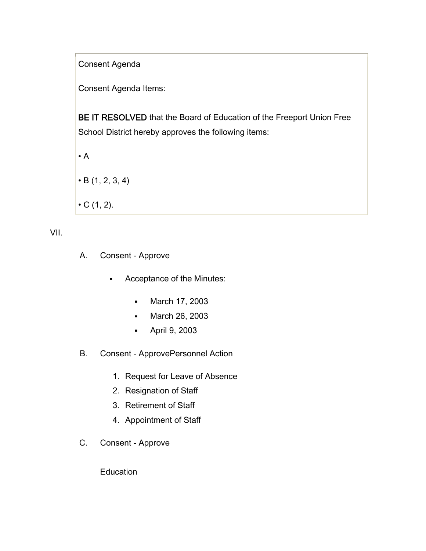Consent Agenda

Consent Agenda Items:

BE IT RESOLVED that the Board of Education of the Freeport Union Free School District hereby approves the following items:

 $\cdot$  A  $\cdot$  B (1, 2, 3, 4)  $\bullet$  C (1, 2).

VII.

- A. Consent Approve
	- Acceptance of the Minutes:
		- March 17, 2003
		- March 26, 2003
		- April 9, 2003
- B. Consent ApprovePersonnel Action
	- 1. Request for Leave of Absence
	- 2. Resignation of Staff
	- 3. Retirement of Staff
	- 4. Appointment of Staff
- C. Consent Approve

**Education**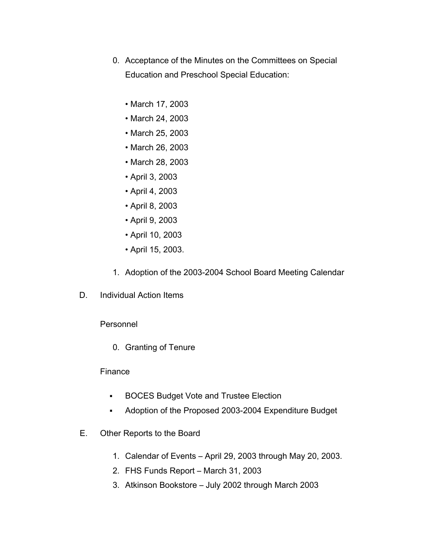- 0. Acceptance of the Minutes on the Committees on Special Education and Preschool Special Education:
	- March 17, 2003
	- March 24, 2003
	- March 25, 2003
	- March 26, 2003
	- March 28, 2003
	- April 3, 2003
	- April 4, 2003
	- April 8, 2003
	- April 9, 2003
	- April 10, 2003
	- April 15, 2003.
- 1. Adoption of the 2003-2004 School Board Meeting Calendar
- D. Individual Action Items

Personnel

0. Granting of Tenure

#### Finance

- **BOCES Budget Vote and Trustee Election**
- Adoption of the Proposed 2003-2004 Expenditure Budget
- E. Other Reports to the Board
	- 1. Calendar of Events April 29, 2003 through May 20, 2003.
	- 2. FHS Funds Report March 31, 2003
	- 3. Atkinson Bookstore July 2002 through March 2003